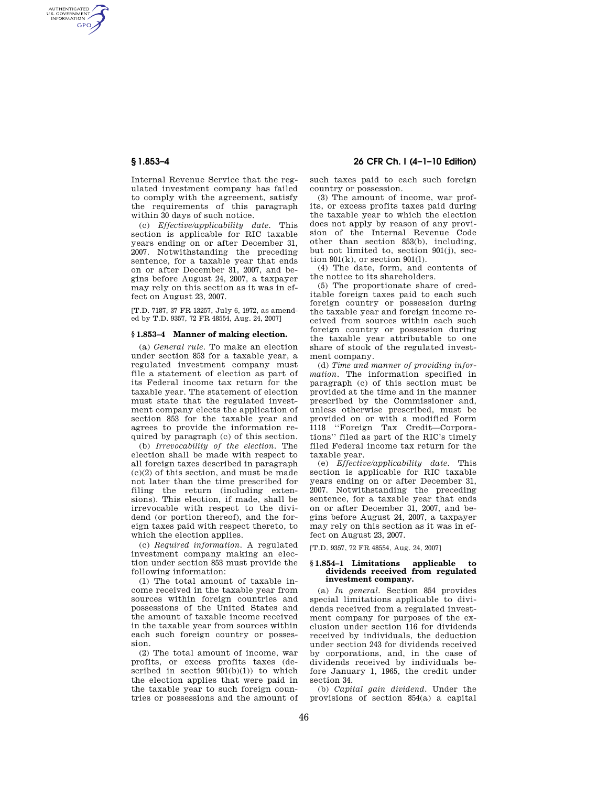AUTHENTICATED<br>U.S. GOVERNMENT<br>INFORMATION **GPO** 

> Internal Revenue Service that the regulated investment company has failed to comply with the agreement, satisfy the requirements of this paragraph within 30 days of such notice.

> (c) *Effective/applicability date.* This section is applicable for RIC taxable years ending on or after December 31, 2007. Notwithstanding the preceding sentence, for a taxable year that ends on or after December 31, 2007, and begins before August 24, 2007, a taxpayer may rely on this section as it was in effect on August 23, 2007.

[T.D. 7187, 37 FR 13257, July 6, 1972, as amended by T.D. 9357, 72 FR 48554, Aug. 24, 2007]

## **§ 1.853–4 Manner of making election.**

(a) *General rule.* To make an election under section 853 for a taxable year, a regulated investment company must file a statement of election as part of its Federal income tax return for the taxable year. The statement of election must state that the regulated investment company elects the application of section 853 for the taxable year and agrees to provide the information required by paragraph (c) of this section.

(b) *Irrevocability of the election.* The election shall be made with respect to all foreign taxes described in paragraph (c)(2) of this section, and must be made not later than the time prescribed for filing the return (including extensions). This election, if made, shall be irrevocable with respect to the dividend (or portion thereof), and the foreign taxes paid with respect thereto, to which the election applies.

(c) *Required information.* A regulated investment company making an election under section 853 must provide the following information:

(1) The total amount of taxable income received in the taxable year from sources within foreign countries and possessions of the United States and the amount of taxable income received in the taxable year from sources within each such foreign country or possession.

(2) The total amount of income, war profits, or excess profits taxes (described in section  $901(b)(1)$  to which the election applies that were paid in the taxable year to such foreign countries or possessions and the amount of

**§ 1.853–4 26 CFR Ch. I (4–1–10 Edition)** 

such taxes paid to each such foreign country or possession.

(3) The amount of income, war profits, or excess profits taxes paid during the taxable year to which the election does not apply by reason of any provision of the Internal Revenue Code other than section 853(b), including, but not limited to, section 901(j), section  $901(k)$ , or section  $901(l)$ .

(4) The date, form, and contents of the notice to its shareholders.

(5) The proportionate share of creditable foreign taxes paid to each such foreign country or possession during the taxable year and foreign income received from sources within each such foreign country or possession during the taxable year attributable to one share of stock of the regulated investment company.

(d) *Time and manner of providing information.* The information specified in paragraph (c) of this section must be provided at the time and in the manner prescribed by the Commissioner and, unless otherwise prescribed, must be provided on or with a modified Form 1118 ''Foreign Tax Credit—Corporations'' filed as part of the RIC's timely filed Federal income tax return for the taxable year.

(e) *Effective/applicability date.* This section is applicable for RIC taxable years ending on or after December 31, 2007. Notwithstanding the preceding sentence, for a taxable year that ends on or after December 31, 2007, and begins before August 24, 2007, a taxpayer may rely on this section as it was in effect on August 23, 2007.

[T.D. 9357, 72 FR 48554, Aug. 24, 2007]

### **§ 1.854–1 Limitations applicable to dividends received from regulated investment company.**

(a) *In general.* Section 854 provides special limitations applicable to dividends received from a regulated investment company for purposes of the exclusion under section 116 for dividends received by individuals, the deduction under section 243 for dividends received by corporations, and, in the case of dividends received by individuals before January 1, 1965, the credit under section 34.

(b) *Capital gain dividend.* Under the provisions of section 854(a) a capital